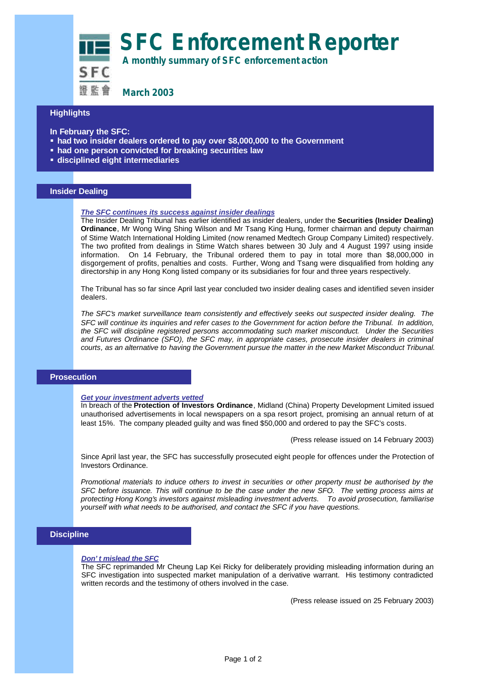**SFC Enforcement Reporter**

 **A monthly summary of SFC enforcement action**

**March 2003**

# **Highlights**

- **In February the SFC:**
- ß **had two insider dealers ordered to pay over \$8,000,000 to the Government**
- **had one person convicted for breaking securities law**
- ß **disciplined eight intermediaries**

### **Insider Dealing**

#### *The SFC continues its success against insider dealings*

The Insider Dealing Tribunal has earlier identified as insider dealers, under the **Securities (Insider Dealing) Ordinance**, Mr Wong Wing Shing Wilson and Mr Tsang King Hung, former chairman and deputy chairman of Stime Watch International Holding Limited (now renamed Medtech Group Company Limited) respectively. The two profited from dealings in Stime Watch shares between 30 July and 4 August 1997 using inside information. On 14 February, the Tribunal ordered them to pay in total more than \$8,000,000 in disgorgement of profits, penalties and costs. Further, Wong and Tsang were disqualified from holding any directorship in any Hong Kong listed company or its subsidiaries for four and three years respectively.

The Tribunal has so far since April last year concluded two insider dealing cases and identified seven insider dealers.

*The SFC's market surveillance team consistently and effectively seeks out suspected insider dealing. The SFC will continue its inquiries and refer cases to the Government for action before the Tribunal. In addition, the SFC will discipline registered persons accommodating such market misconduct. Under the Securities and Futures Ordinance (SFO), the SFC may, in appropriate cases, prosecute insider dealers in criminal courts, as an alternative to having the Government pursue the matter in the new Market Misconduct Tribunal.*

### **Prosecution**

#### *Get your investment adverts vetted*

In breach of the **Protection of Investors Ordinance**, Midland (China) Property Development Limited issued unauthorised advertisements in local newspapers on a spa resort project, promising an annual return of at least 15%. The company pleaded guilty and was fined \$50,000 and ordered to pay the SFC's costs.

(Press release issued on 14 February 2003)

Since April last year, the SFC has successfully prosecuted eight people for offences under the Protection of Investors Ordinance.

*Promotional materials to induce others to invest in securities or other property must be authorised by the SFC before issuance. This will continue to be the case under the new SFO. The vetting process aims at protecting Hong Kong's investors against misleading investment adverts. To avoid prosecution, familiarise yourself with what needs to be authorised, and contact the SFC if you have questions.*

## **Discipline**

#### *Don't mislead the SFC*

The SFC reprimanded Mr Cheung Lap Kei Ricky for deliberately providing misleading information during an SFC investigation into suspected market manipulation of a derivative warrant. His testimony contradicted written records and the testimony of others involved in the case.

(Press release issued on 25 February 2003)